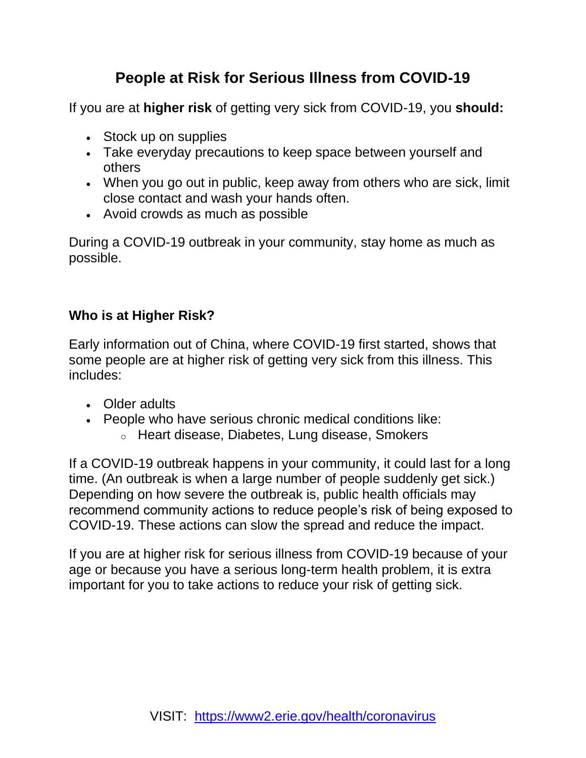#### **People at Risk for Serious Illness from COVID-19**

If you are at **[higher risk](https://www.cdc.gov/coronavirus/2019-ncov/specific-groups/high-risk-complications.html#who-is-higher-risk)** of getting very sick from COVID-19, you **should:**

- [Stock up on supplies](https://www.cdc.gov/coronavirus/2019-ncov/specific-groups/high-risk-complications.html#Have-supplies-on-hand)
- Take [everyday precautions](https://www.cdc.gov/coronavirus/2019-ncov/specific-groups/high-risk-complications.html#take-everyday-precautions) to keep space between yourself and others
- When you go out in public, keep away from others who are sick, limit close contact and wash your hands often.
- [Avoid crowds](https://www.cdc.gov/coronavirus/2019-ncov/specific-groups/high-risk-complications.html#avoid-crowds) as much as possible

During a COVID-19 outbreak in your community, [stay home](https://www.cdc.gov/coronavirus/2019-ncov/specific-groups/high-risk-complications.html#stay-home) as much as possible.

#### **[Who is at Higher Risk?](https://www.cdc.gov/coronavirus/2019-ncov/specific-groups/high-risk-complications.html)**

Early information out of China, where COVID-19 first started, shows that some people are at higher risk of getting very sick from this illness. This includes:

- Older adults
- People who have serious chronic medical conditions like:
	- o Heart disease, Diabetes, Lung disease, Smokers

If a COVID-19 outbreak happens in your community, it could last for a long time. (An outbreak is when a large number of people suddenly get sick.) Depending on how severe the outbreak is, public health officials may recommend community actions to reduce people's risk of being exposed to COVID-19. These actions can slow the spread and reduce the impact.

If you are at higher risk for serious illness from COVID-19 because of your age or because you have a serious long-term health problem, it is extra important for you to take actions to reduce your risk of getting sick.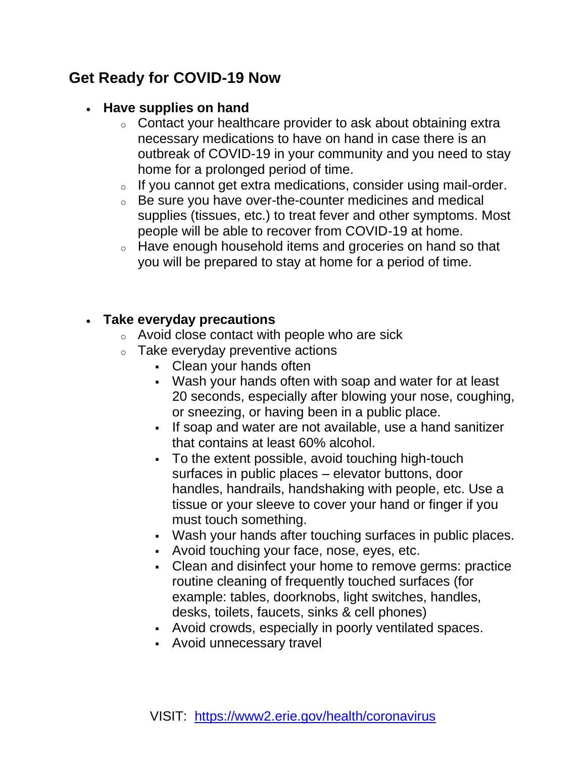#### **Get Ready for COVID-19 Now**

#### • **Have supplies on hand**

- o Contact your healthcare provider to ask about obtaining extra necessary medications to have on hand in case there is an outbreak of COVID-19 in your community and you need to stay home for a prolonged period of time.
- o If you cannot get extra medications, consider using mail-order.
- o Be sure you have over-the-counter medicines and medical supplies (tissues, etc.) to treat fever and other symptoms. Most people will be able to recover from COVID-19 at home.
- o Have enough household items and groceries on hand so that you will be prepared to stay at home for a period of time.

#### • **Take everyday precautions**

- o Avoid close contact with people who are sick
- $\circ$  Take everyday preventive actions
	- Clean your hands often
	- Wash your hands often with soap and water for at least 20 seconds, especially after blowing your nose, coughing, or sneezing, or having been in a public place.
	- If soap and water are not available, use a hand sanitizer that contains at least 60% alcohol.
	- To the extent possible, avoid touching high-touch surfaces in public places – elevator buttons, door handles, handrails, handshaking with people, etc. Use a tissue or your sleeve to cover your hand or finger if you must touch something.
	- Wash your hands after touching surfaces in public places.
	- Avoid touching your face, nose, eyes, etc.
	- Clean and disinfect your home to remove germs: practice routine cleaning of frequently touched surfaces (for example: tables, doorknobs, light switches, handles, desks, toilets, faucets, sinks & cell phones)
	- Avoid crowds, especially in poorly ventilated spaces.
	- Avoid unnecessary travel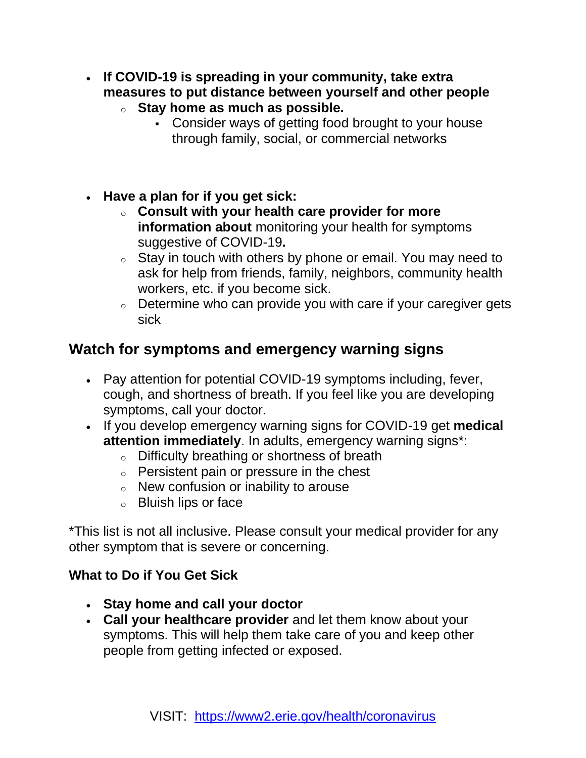- **If COVID-19 is spreading in your community, take extra measures to put distance between yourself and other people**  o **Stay home as much as possible.** 
	- Consider ways of getting food brought to your house through family, social, or commercial networks
- **[Have a plan for if you get sick:](https://www.cdc.gov/coronavirus/2019-ncov/community/home/get-your-household-ready-for-COVID-19.html)**
	- o **Consult with your health care provider for more information about** [monitoring your health for symptoms](https://www.cdc.gov/coronavirus/2019-ncov/hcp/guidance-prevent-spread.html#precautions)  [suggestive of COVID-19](https://www.cdc.gov/coronavirus/2019-ncov/hcp/guidance-prevent-spread.html#precautions)**.**
	- $\circ$  Stay in touch with others by phone or email. You may need to ask for help from friends, family, neighbors, community health workers, etc. if you become sick.
	- $\circ$  Determine who can provide you with care if your caregiver gets sick

#### **Watch for symptoms and emergency warning signs**

- Pay attention for potential COVID-19 symptoms including, fever, cough, and shortness of breath. If you feel like you are developing symptoms, call your doctor.
- If you develop emergency warning signs for COVID-19 get **medical attention immediately**. In adults, emergency warning signs\*:
	- o Difficulty breathing or shortness of breath
	- o Persistent pain or pressure in the chest
	- o New confusion or inability to arouse
	- o Bluish lips or face

\*This list is not all inclusive. Please consult your medical provider for any other symptom that is severe or concerning.

#### **What to Do if You Get Sick**

- **Stay home and call your doctor**
- **Call your healthcare provider** and let them know about your symptoms. This will help them take care of you and keep other people from getting infected or exposed.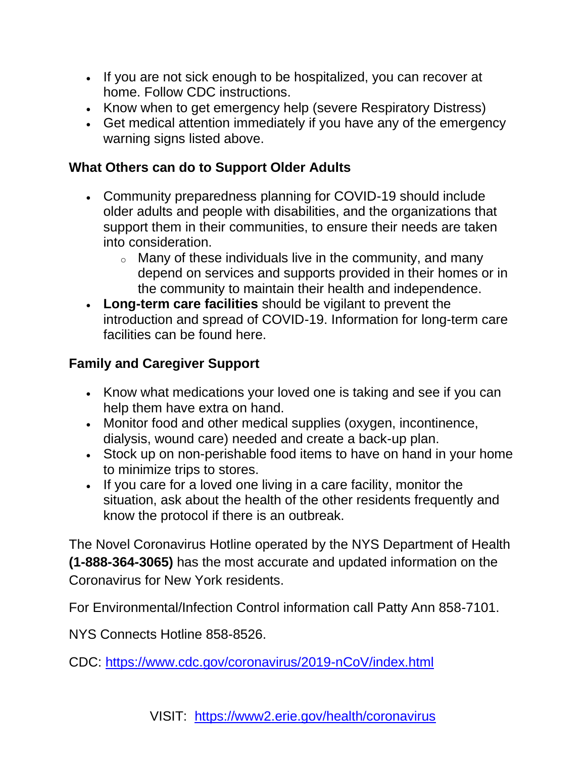- If you are not sick enough to be hospitalized, you can recover at home. Follow CDC instructions.
- Know when to get emergency help (severe Respiratory Distress)
- Get medical attention immediately if you have any of the emergency warning signs listed above.

#### **What Others can do to Support Older Adults**

- Community preparedness planning for COVID-19 should include older adults and people with disabilities, and the organizations that support them in their communities, to ensure their needs are taken into consideration.
	- $\circ$  Many of these individuals live in the community, and many depend on services and supports provided in their homes or in the community to maintain their health and independence.
- **Long-term care facilities** should be vigilant to prevent the introduction and spread of COVID-19. [Information for long-term care](https://www.cdc.gov/coronavirus/2019-ncov/healthcare-facilities/prevent-spread-in-long-term-care-facilities.html)  [facilities can be found here.](https://www.cdc.gov/coronavirus/2019-ncov/healthcare-facilities/prevent-spread-in-long-term-care-facilities.html)

#### **Family and Caregiver Support**

- Know what medications your loved one is taking and see if you can help them have extra on hand.
- Monitor food and other medical supplies (oxygen, incontinence, dialysis, wound care) needed and create a back-up plan.
- Stock up on non-perishable food items to have on hand in your home to minimize trips to stores.
- If you care for a loved one living in a care facility, monitor the situation, ask about the health of the other residents frequently and know the protocol if there is an outbreak.

The Novel Coronavirus Hotline operated by the NYS Department of Health **(1-888-364-3065)** has the most accurate and updated information on the Coronavirus for New York residents.

For Environmental/Infection Control information call Patty Ann 858-7101.

NYS Connects Hotline 858-8526.

CDC:<https://www.cdc.gov/coronavirus/2019-nCoV/index.html>